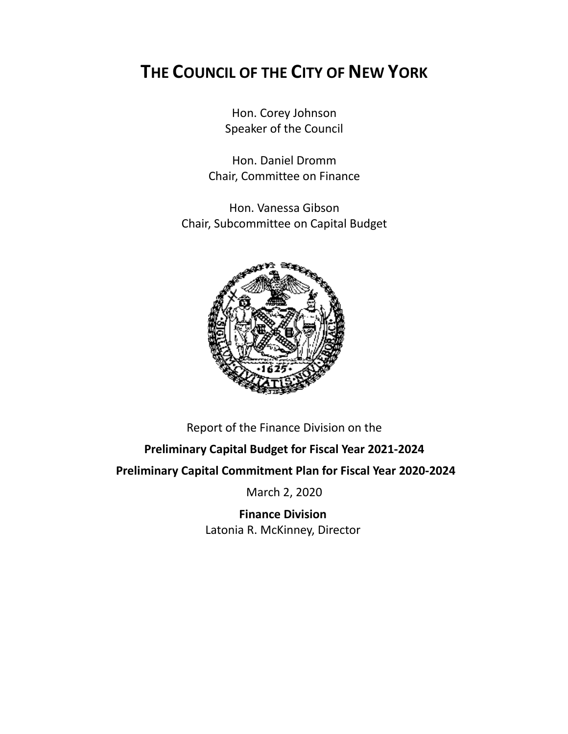# **THE COUNCIL OF THE CITY OF NEW YORK**

Hon. Corey Johnson Speaker of the Council

Hon. Daniel Dromm Chair, Committee on Finance

Hon. Vanessa Gibson Chair, Subcommittee on Capital Budget



Report of the Finance Division on the

# **Preliminary Capital Budget for Fiscal Year 2021-2024**

**Preliminary Capital Commitment Plan for Fiscal Year 2020-2024**

March 2, 2020

**Finance Division** Latonia R. McKinney, Director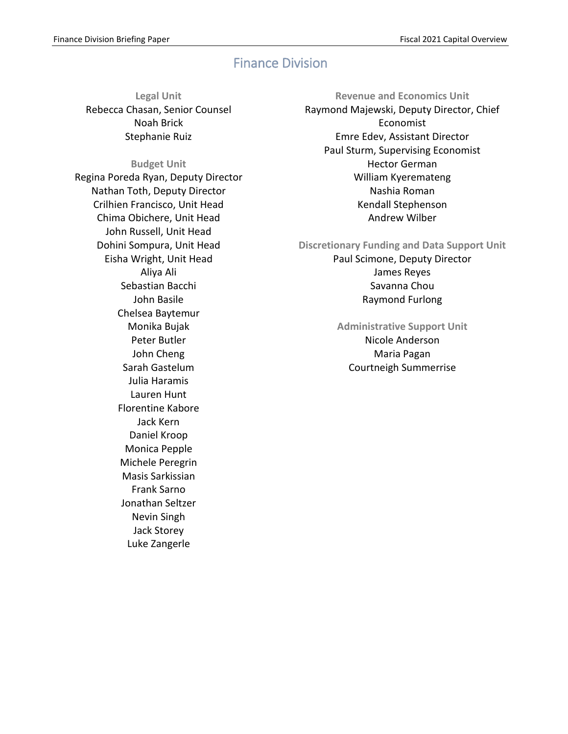# Finance Division

**Legal Unit** Rebecca Chasan, Senior Counsel Noah Brick Stephanie Ruiz

### **Budget Unit**

Regina Poreda Ryan, Deputy Director Nathan Toth, Deputy Director Crilhien Francisco, Unit Head Chima Obichere, Unit Head John Russell, Unit Head Dohini Sompura, Unit Head Eisha Wright, Unit Head Aliya Ali Sebastian Bacchi John Basile Chelsea Baytemur Monika Bujak Peter Butler John Cheng Sarah Gastelum Julia Haramis Lauren Hunt Florentine Kabore Jack Kern Daniel Kroop Monica Pepple Michele Peregrin Masis Sarkissian Frank Sarno Jonathan Seltzer Nevin Singh Jack Storey Luke Zangerle

**Revenue and Economics Unit** Raymond Majewski, Deputy Director, Chief Economist Emre Edev, Assistant Director Paul Sturm, Supervising Economist Hector German William Kyeremateng Nashia Roman Kendall Stephenson Andrew Wilber

**Discretionary Funding and Data Support Unit** Paul Scimone, Deputy Director James Reyes Savanna Chou Raymond Furlong

# **Administrative Support Unit** Nicole Anderson Maria Pagan Courtneigh Summerrise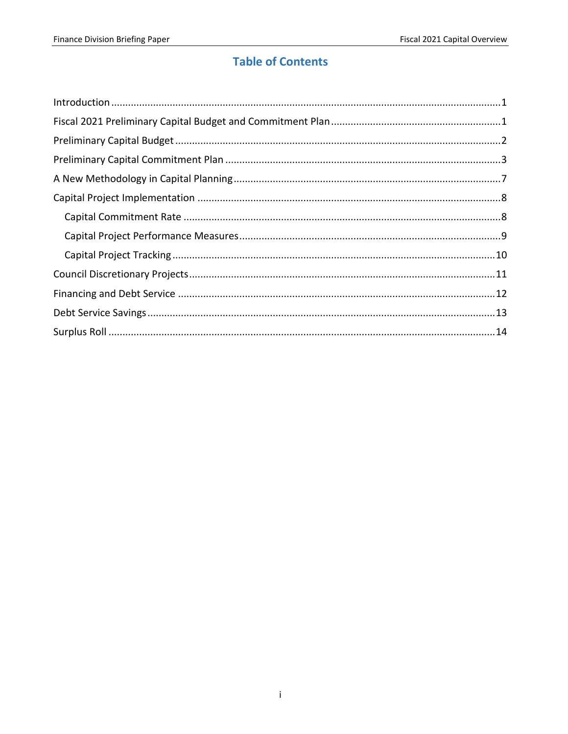# **Table of Contents**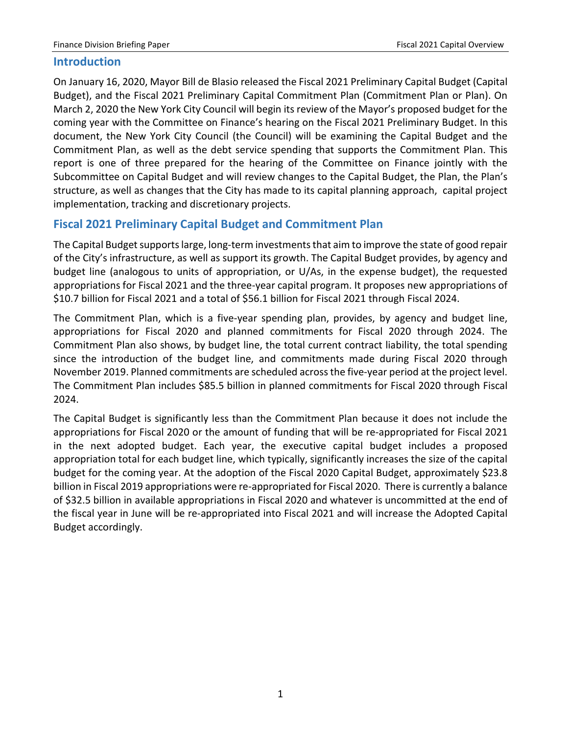# <span id="page-3-0"></span>**Introduction**

On January 16, 2020, Mayor Bill de Blasio released the Fiscal 2021 Preliminary Capital Budget (Capital Budget), and the Fiscal 2021 Preliminary Capital Commitment Plan (Commitment Plan or Plan). On March 2, 2020 the New York City Council will begin its review of the Mayor's proposed budget for the coming year with the Committee on Finance's hearing on the Fiscal 2021 Preliminary Budget. In this document, the New York City Council (the Council) will be examining the Capital Budget and the Commitment Plan, as well as the debt service spending that supports the Commitment Plan. This report is one of three prepared for the hearing of the Committee on Finance jointly with the Subcommittee on Capital Budget and will review changes to the Capital Budget, the Plan, the Plan's structure, as well as changes that the City has made to its capital planning approach, capital project implementation, tracking and discretionary projects.

# <span id="page-3-1"></span>**Fiscal 2021 Preliminary Capital Budget and Commitment Plan**

The Capital Budget supports large, long-term investments that aim to improve the state of good repair of the City's infrastructure, as well as support its growth. The Capital Budget provides, by agency and budget line (analogous to units of appropriation, or U/As, in the expense budget), the requested appropriations for Fiscal 2021 and the three-year capital program. It proposes new appropriations of \$10.7 billion for Fiscal 2021 and a total of \$56.1 billion for Fiscal 2021 through Fiscal 2024.

The Commitment Plan, which is a five-year spending plan, provides, by agency and budget line, appropriations for Fiscal 2020 and planned commitments for Fiscal 2020 through 2024. The Commitment Plan also shows, by budget line, the total current contract liability, the total spending since the introduction of the budget line, and commitments made during Fiscal 2020 through November 2019. Planned commitments are scheduled across the five-year period at the project level. The Commitment Plan includes \$85.5 billion in planned commitments for Fiscal 2020 through Fiscal 2024.

The Capital Budget is significantly less than the Commitment Plan because it does not include the appropriations for Fiscal 2020 or the amount of funding that will be re-appropriated for Fiscal 2021 in the next adopted budget. Each year, the executive capital budget includes a proposed appropriation total for each budget line, which typically, significantly increases the size of the capital budget for the coming year. At the adoption of the Fiscal 2020 Capital Budget, approximately \$23.8 billion in Fiscal 2019 appropriations were re-appropriated for Fiscal 2020. There is currently a balance of \$32.5 billion in available appropriations in Fiscal 2020 and whatever is uncommitted at the end of the fiscal year in June will be re-appropriated into Fiscal 2021 and will increase the Adopted Capital Budget accordingly.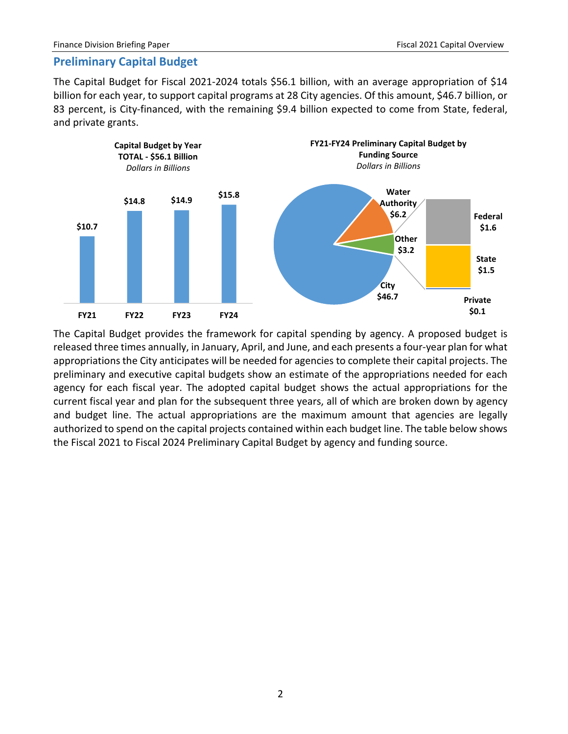## <span id="page-4-0"></span>**Preliminary Capital Budget**

The Capital Budget for Fiscal 2021-2024 totals \$56.1 billion, with an average appropriation of \$14 billion for each year, to support capital programs at 28 City agencies. Of this amount, \$46.7 billion, or 83 percent, is City-financed, with the remaining \$9.4 billion expected to come from State, federal, and private grants.



The Capital Budget provides the framework for capital spending by agency. A proposed budget is released three times annually, in January, April, and June, and each presents a four-year plan for what appropriations the City anticipates will be needed for agencies to complete their capital projects. The preliminary and executive capital budgets show an estimate of the appropriations needed for each agency for each fiscal year. The adopted capital budget shows the actual appropriations for the current fiscal year and plan for the subsequent three years, all of which are broken down by agency and budget line. The actual appropriations are the maximum amount that agencies are legally authorized to spend on the capital projects contained within each budget line. The table below shows the Fiscal 2021 to Fiscal 2024 Preliminary Capital Budget by agency and funding source.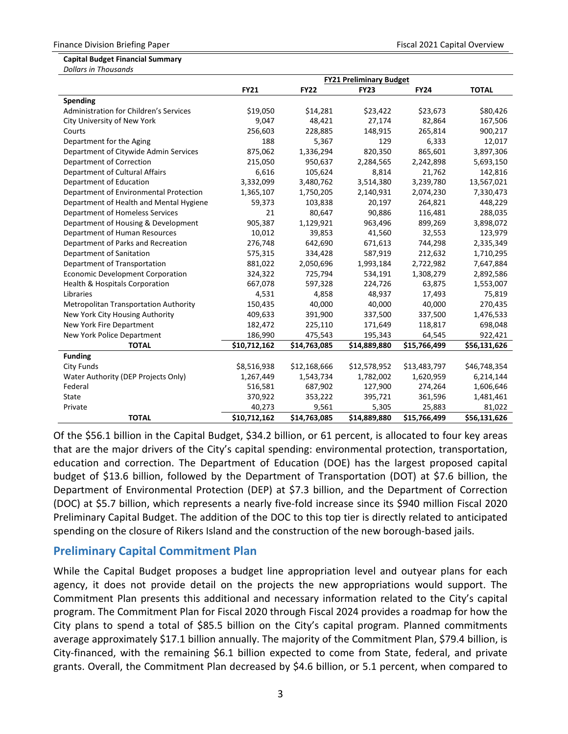#### **Capital Budget Financial Summary**

*Dollars in Thousands*

|                                         | <b>FY21 Preliminary Budget</b> |              |              |              |              |  |
|-----------------------------------------|--------------------------------|--------------|--------------|--------------|--------------|--|
|                                         | <b>FY21</b>                    | <b>FY22</b>  | <b>FY23</b>  | <b>FY24</b>  | <b>TOTAL</b> |  |
| <b>Spending</b>                         |                                |              |              |              |              |  |
| Administration for Children's Services  | \$19,050                       | \$14,281     | \$23,422     | \$23,673     | \$80,426     |  |
| City University of New York             | 9,047                          | 48,421       | 27,174       | 82,864       | 167,506      |  |
| Courts                                  | 256,603                        | 228,885      | 148,915      | 265,814      | 900,217      |  |
| Department for the Aging                | 188                            | 5,367        | 129          | 6,333        | 12,017       |  |
| Department of Citywide Admin Services   | 875,062                        | 1,336,294    | 820,350      | 865,601      | 3,897,306    |  |
| Department of Correction                | 215,050                        | 950,637      | 2,284,565    | 2,242,898    | 5,693,150    |  |
| Department of Cultural Affairs          | 6,616                          | 105,624      | 8,814        | 21,762       | 142,816      |  |
| Department of Education                 | 3,332,099                      | 3,480,762    | 3,514,380    | 3,239,780    | 13,567,021   |  |
| Department of Environmental Protection  | 1,365,107                      | 1,750,205    | 2,140,931    | 2,074,230    | 7,330,473    |  |
| Department of Health and Mental Hygiene | 59,373                         | 103,838      | 20,197       | 264,821      | 448,229      |  |
| Department of Homeless Services         | 21                             | 80,647       | 90,886       | 116,481      | 288,035      |  |
| Department of Housing & Development     | 905,387                        | 1,129,921    | 963,496      | 899,269      | 3,898,072    |  |
| Department of Human Resources           | 10,012                         | 39,853       | 41,560       | 32,553       | 123,979      |  |
| Department of Parks and Recreation      | 276,748                        | 642,690      | 671,613      | 744,298      | 2,335,349    |  |
| Department of Sanitation                | 575,315                        | 334,428      | 587,919      | 212,632      | 1,710,295    |  |
| Department of Transportation            | 881,022                        | 2,050,696    | 1,993,184    | 2,722,982    | 7,647,884    |  |
| <b>Economic Development Corporation</b> | 324,322                        | 725,794      | 534,191      | 1,308,279    | 2,892,586    |  |
| Health & Hospitals Corporation          | 667,078                        | 597,328      | 224,726      | 63,875       | 1,553,007    |  |
| Libraries                               | 4,531                          | 4,858        | 48,937       | 17,493       | 75,819       |  |
| Metropolitan Transportation Authority   | 150,435                        | 40,000       | 40,000       | 40,000       | 270,435      |  |
| New York City Housing Authority         | 409,633                        | 391,900      | 337,500      | 337,500      | 1,476,533    |  |
| New York Fire Department                | 182,472                        | 225,110      | 171,649      | 118,817      | 698,048      |  |
| New York Police Department              | 186,990                        | 475,543      | 195,343      | 64,545       | 922,421      |  |
| <b>TOTAL</b>                            | \$10,712,162                   | \$14,763,085 | \$14,889,880 | \$15,766,499 | \$56,131,626 |  |
| <b>Funding</b>                          |                                |              |              |              |              |  |
| <b>City Funds</b>                       | \$8,516,938                    | \$12,168,666 | \$12,578,952 | \$13,483,797 | \$46,748,354 |  |
| Water Authority (DEP Projects Only)     | 1,267,449                      | 1,543,734    | 1,782,002    | 1,620,959    | 6,214,144    |  |
| Federal                                 | 516,581                        | 687,902      | 127,900      | 274,264      | 1,606,646    |  |
| State                                   | 370,922                        | 353,222      | 395,721      | 361,596      | 1,481,461    |  |
| Private                                 | 40,273                         | 9,561        | 5,305        | 25,883       | 81,022       |  |
| <b>TOTAL</b>                            | \$10,712,162                   | \$14,763,085 | \$14,889,880 | \$15,766,499 | \$56,131,626 |  |

Of the \$56.1 billion in the Capital Budget, \$34.2 billion, or 61 percent, is allocated to four key areas that are the major drivers of the City's capital spending: environmental protection, transportation, education and correction. The Department of Education (DOE) has the largest proposed capital budget of \$13.6 billion, followed by the Department of Transportation (DOT) at \$7.6 billion, the Department of Environmental Protection (DEP) at \$7.3 billion, and the Department of Correction (DOC) at \$5.7 billion, which represents a nearly five-fold increase since its \$940 million Fiscal 2020 Preliminary Capital Budget. The addition of the DOC to this top tier is directly related to anticipated spending on the closure of Rikers Island and the construction of the new borough-based jails.

# <span id="page-5-0"></span>**Preliminary Capital Commitment Plan**

While the Capital Budget proposes a budget line appropriation level and outyear plans for each agency, it does not provide detail on the projects the new appropriations would support. The Commitment Plan presents this additional and necessary information related to the City's capital program. The Commitment Plan for Fiscal 2020 through Fiscal 2024 provides a roadmap for how the City plans to spend a total of \$85.5 billion on the City's capital program. Planned commitments average approximately \$17.1 billion annually. The majority of the Commitment Plan, \$79.4 billion, is City-financed, with the remaining \$6.1 billion expected to come from State, federal, and private grants. Overall, the Commitment Plan decreased by \$4.6 billion, or 5.1 percent, when compared to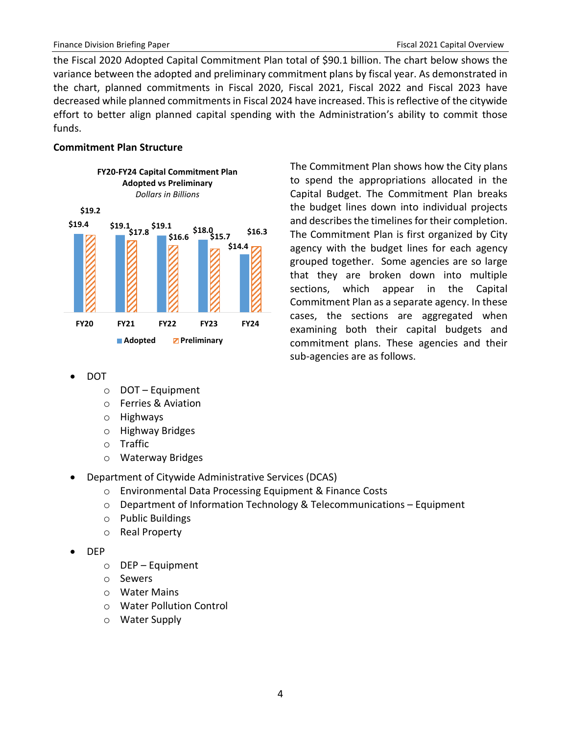the Fiscal 2020 Adopted Capital Commitment Plan total of \$90.1 billion. The chart below shows the variance between the adopted and preliminary commitment plans by fiscal year. As demonstrated in the chart, planned commitments in Fiscal 2020, Fiscal 2021, Fiscal 2022 and Fiscal 2023 have decreased while planned commitments in Fiscal 2024 have increased. This is reflective of the citywide effort to better align planned capital spending with the Administration's ability to commit those funds.

#### **Commitment Plan Structure**



The Commitment Plan shows how the City plans to spend the appropriations allocated in the Capital Budget. The Commitment Plan breaks the budget lines down into individual projects and describes the timelines for their completion. The Commitment Plan is first organized by City agency with the budget lines for each agency grouped together. Some agencies are so large that they are broken down into multiple sections, which appear in the Capital Commitment Plan as a separate agency. In these cases, the sections are aggregated when examining both their capital budgets and commitment plans. These agencies and their sub-agencies are as follows.

- DOT
	- o DOT Equipment
	- o Ferries & Aviation
	- o Highways
	- o Highway Bridges
	- o Traffic
	- o Waterway Bridges
- Department of Citywide Administrative Services (DCAS)
	- o Environmental Data Processing Equipment & Finance Costs
	- o Department of Information Technology & Telecommunications Equipment
	- o Public Buildings
	- o Real Property
- DEP
	- o DEP Equipment
	- o Sewers
	- o Water Mains
	- o Water Pollution Control
	- o Water Supply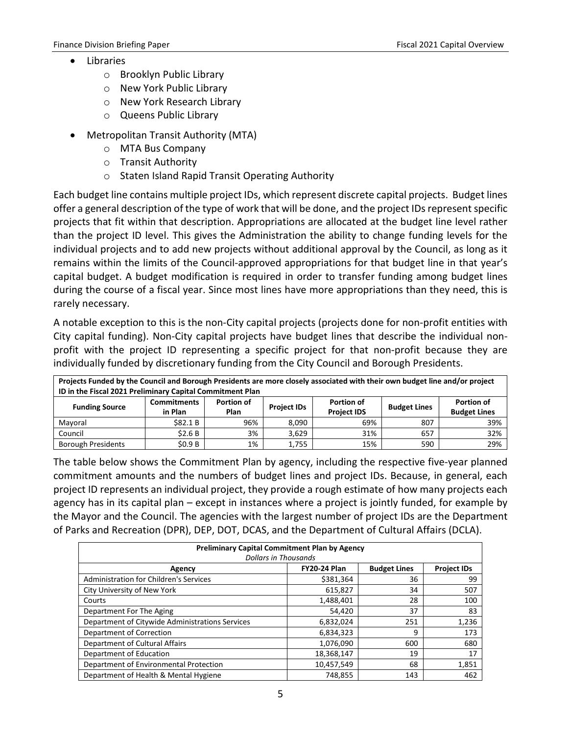- **Libraries** 
	- o Brooklyn Public Library
	- o New York Public Library
	- o New York Research Library
	- o Queens Public Library
- Metropolitan Transit Authority (MTA)
	- o MTA Bus Company
	- o Transit Authority
	- o Staten Island Rapid Transit Operating Authority

Each budget line contains multiple project IDs, which represent discrete capital projects. Budget lines offer a general description of the type of work that will be done, and the project IDs represent specific projects that fit within that description. Appropriations are allocated at the budget line level rather than the project ID level. This gives the Administration the ability to change funding levels for the individual projects and to add new projects without additional approval by the Council, as long as it remains within the limits of the Council-approved appropriations for that budget line in that year's capital budget. A budget modification is required in order to transfer funding among budget lines during the course of a fiscal year. Since most lines have more appropriations than they need, this is rarely necessary.

A notable exception to this is the non-City capital projects (projects done for non-profit entities with City capital funding). Non-City capital projects have budget lines that describe the individual nonprofit with the project ID representing a specific project for that non-profit because they are individually funded by discretionary funding from the City Council and Borough Presidents.

| Projects Funded by the Council and Borough Presidents are more closely associated with their own budget line and/or project |                                                           |                   |                    |                                           |     |                     |
|-----------------------------------------------------------------------------------------------------------------------------|-----------------------------------------------------------|-------------------|--------------------|-------------------------------------------|-----|---------------------|
|                                                                                                                             | ID in the Fiscal 2021 Preliminary Capital Commitment Plan |                   |                    |                                           |     |                     |
|                                                                                                                             | <b>Commitments</b>                                        | <b>Portion of</b> |                    | Portion of                                |     | <b>Portion of</b>   |
| <b>Funding Source</b>                                                                                                       | in Plan                                                   | Plan              | <b>Project IDs</b> | <b>Budget Lines</b><br><b>Project IDS</b> |     | <b>Budget Lines</b> |
| Mayoral                                                                                                                     | \$82.1B                                                   | 96%               | 8.090              | 69%                                       | 807 | 39%                 |
| Council                                                                                                                     | \$2.6B                                                    | 3%                | 3.629              | 31%                                       | 657 | 32%                 |
| <b>Borough Presidents</b>                                                                                                   | \$0.9B                                                    | 1%                | 1,755              | 15%                                       | 590 | 29%                 |

The table below shows the Commitment Plan by agency, including the respective five-year planned commitment amounts and the numbers of budget lines and project IDs. Because, in general, each project ID represents an individual project, they provide a rough estimate of how many projects each agency has in its capital plan – except in instances where a project is jointly funded, for example by the Mayor and the Council. The agencies with the largest number of project IDs are the Department of Parks and Recreation (DPR), DEP, DOT, DCAS, and the Department of Cultural Affairs (DCLA).

| <b>Preliminary Capital Commitment Plan by Agency</b>                       |            |     |       |  |  |  |
|----------------------------------------------------------------------------|------------|-----|-------|--|--|--|
| <b>Dollars in Thousands</b>                                                |            |     |       |  |  |  |
| <b>Budget Lines</b><br><b>FY20-24 Plan</b><br><b>Project IDs</b><br>Agency |            |     |       |  |  |  |
| <b>Administration for Children's Services</b>                              | \$381,364  | 36  | 99    |  |  |  |
| City University of New York                                                | 615,827    | 34  | 507   |  |  |  |
| Courts                                                                     | 1,488,401  | 28  | 100   |  |  |  |
| Department For The Aging                                                   | 54,420     | 37  | 83    |  |  |  |
| Department of Citywide Administrations Services                            | 6,832,024  | 251 | 1,236 |  |  |  |
| Department of Correction                                                   | 6,834,323  | 9   | 173   |  |  |  |
| Department of Cultural Affairs                                             | 1,076,090  | 600 | 680   |  |  |  |
| Department of Education                                                    | 18,368,147 | 19  | 17    |  |  |  |
| Department of Environmental Protection                                     | 10,457,549 | 68  | 1,851 |  |  |  |
| Department of Health & Mental Hygiene                                      | 748,855    | 143 | 462   |  |  |  |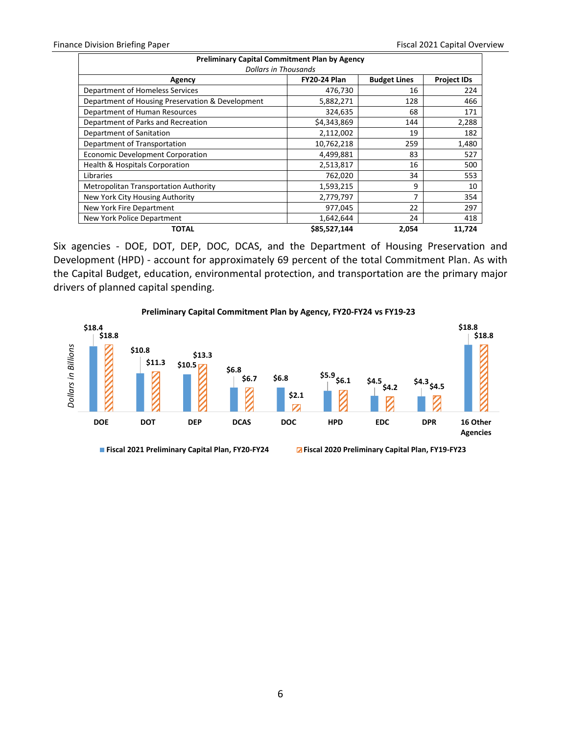| <b>Preliminary Capital Commitment Plan by Agency</b>                       |              |       |        |  |  |  |  |
|----------------------------------------------------------------------------|--------------|-------|--------|--|--|--|--|
| <b>Dollars in Thousands</b>                                                |              |       |        |  |  |  |  |
| <b>FY20-24 Plan</b><br><b>Project IDs</b><br><b>Budget Lines</b><br>Agency |              |       |        |  |  |  |  |
| Department of Homeless Services                                            | 476,730      | 16    | 224    |  |  |  |  |
| Department of Housing Preservation & Development                           | 5,882,271    | 128   | 466    |  |  |  |  |
| Department of Human Resources                                              | 324,635      | 68    | 171    |  |  |  |  |
| Department of Parks and Recreation                                         | \$4,343,869  | 144   | 2,288  |  |  |  |  |
| Department of Sanitation                                                   | 2,112,002    | 19    | 182    |  |  |  |  |
| Department of Transportation                                               | 10,762,218   | 259   | 1,480  |  |  |  |  |
| <b>Economic Development Corporation</b>                                    | 4,499,881    | 83    | 527    |  |  |  |  |
| <b>Health &amp; Hospitals Corporation</b>                                  | 2,513,817    | 16    | 500    |  |  |  |  |
| Libraries                                                                  | 762,020      | 34    | 553    |  |  |  |  |
| <b>Metropolitan Transportation Authority</b>                               | 1,593,215    | 9     | 10     |  |  |  |  |
| New York City Housing Authority                                            | 2,779,797    | 7     | 354    |  |  |  |  |
| New York Fire Department                                                   | 977,045      | 22    | 297    |  |  |  |  |
| New York Police Department                                                 | 1,642,644    | 24    | 418    |  |  |  |  |
| <b>TOTAL</b>                                                               | \$85,527,144 | 2,054 | 11,724 |  |  |  |  |

Six agencies - DOE, DOT, DEP, DOC, DCAS, and the Department of Housing Preservation and Development (HPD) - account for approximately 69 percent of the total Commitment Plan. As with the Capital Budget, education, environmental protection, and transportation are the primary major drivers of planned capital spending.



#### **Preliminary Capital Commitment Plan by Agency, FY20-FY24 vs FY19-23**

**Fiscal 2021 Preliminary Capital Plan, FY20-FY24 Fiscal 2020 Preliminary Capital Plan, FY19-FY23**

6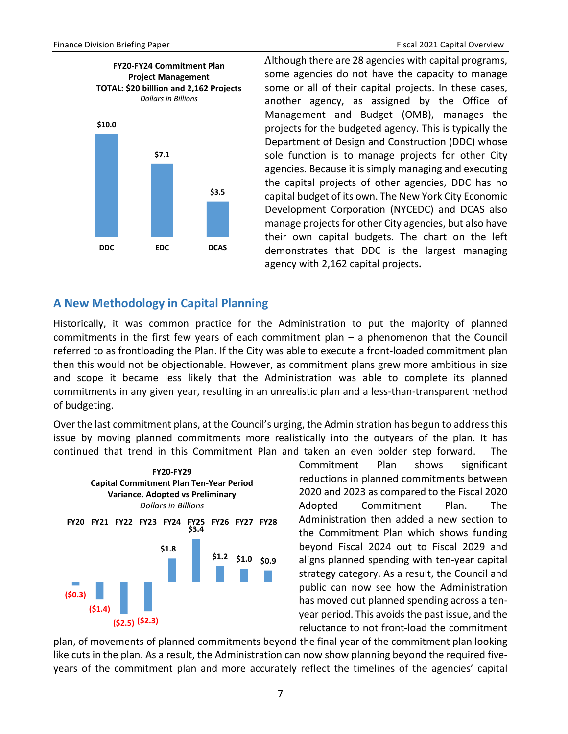# **FY20-FY24 Commitment Plan Project Management TOTAL: \$20 billlion and 2,162 Projects**  *Dollars in Billions*



Although there are 28 agencies with capital programs, some agencies do not have the capacity to manage some or all of their capital projects. In these cases, another agency, as assigned by the Office of Management and Budget (OMB), manages the projects for the budgeted agency. This is typically the Department of Design and Construction (DDC) whose sole function is to manage projects for other City agencies. Because it is simply managing and executing the capital projects of other agencies, DDC has no capital budget of its own. The New York City Economic Development Corporation (NYCEDC) and DCAS also manage projects for other City agencies, but also have their own capital budgets. The chart on the left demonstrates that DDC is the largest managing agency with 2,162 capital projects**.**

# <span id="page-9-0"></span>**A New Methodology in Capital Planning**

Historically, it was common practice for the Administration to put the majority of planned commitments in the first few years of each commitment plan – a phenomenon that the Council referred to as frontloading the Plan. If the City was able to execute a front-loaded commitment plan then this would not be objectionable. However, as commitment plans grew more ambitious in size and scope it became less likely that the Administration was able to complete its planned commitments in any given year, resulting in an unrealistic plan and a less-than-transparent method of budgeting.

Over the last commitment plans, at the Council's urging, the Administration has begun to address this issue by moving planned commitments more realistically into the outyears of the plan. It has continued that trend in this Commitment Plan and taken an even bolder step forward. The



Commitment Plan shows significant reductions in planned commitments between 2020 and 2023 as compared to the Fiscal 2020 Adopted Commitment Plan. The Administration then added a new section to the Commitment Plan which shows funding beyond Fiscal 2024 out to Fiscal 2029 and aligns planned spending with ten-year capital strategy category. As a result, the Council and public can now see how the Administration has moved out planned spending across a tenyear period. This avoids the past issue, and the reluctance to not front-load the commitment

plan, of movements of planned commitments beyond the final year of the commitment plan looking like cuts in the plan. As a result, the Administration can now show planning beyond the required fiveyears of the commitment plan and more accurately reflect the timelines of the agencies' capital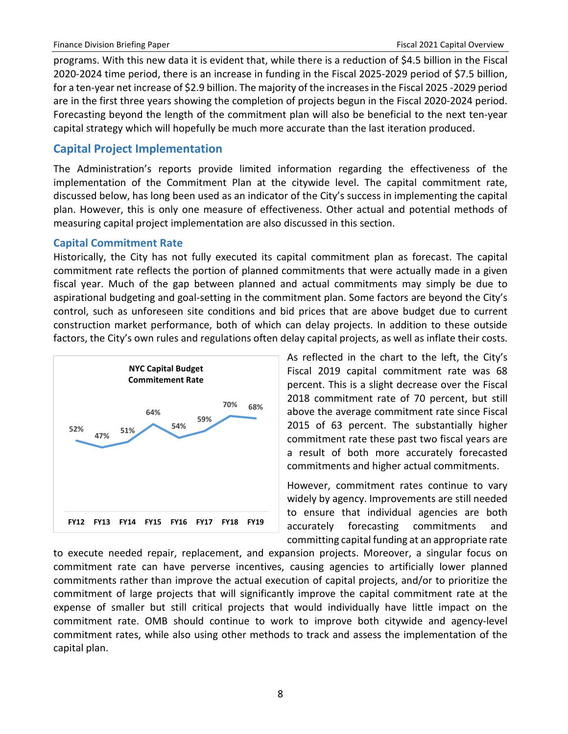programs. With this new data it is evident that, while there is a reduction of \$4.5 billion in the Fiscal 2020-2024 time period, there is an increase in funding in the Fiscal 2025-2029 period of \$7.5 billion, for a ten-year net increase of \$2.9 billion. The majority of the increases in the Fiscal 2025 -2029 period are in the first three years showing the completion of projects begun in the Fiscal 2020-2024 period. Forecasting beyond the length of the commitment plan will also be beneficial to the next ten-year capital strategy which will hopefully be much more accurate than the last iteration produced.

# <span id="page-10-0"></span>**Capital Project Implementation**

The Administration's reports provide limited information regarding the effectiveness of the implementation of the Commitment Plan at the citywide level. The capital commitment rate, discussed below, has long been used as an indicator of the City's success in implementing the capital plan. However, this is only one measure of effectiveness. Other actual and potential methods of measuring capital project implementation are also discussed in this section.

### <span id="page-10-1"></span>**Capital Commitment Rate**

Historically, the City has not fully executed its capital commitment plan as forecast. The capital commitment rate reflects the portion of planned commitments that were actually made in a given fiscal year. Much of the gap between planned and actual commitments may simply be due to aspirational budgeting and goal-setting in the commitment plan. Some factors are beyond the City's control, such as unforeseen site conditions and bid prices that are above budget due to current construction market performance, both of which can delay projects. In addition to these outside factors, the City's own rules and regulations often delay capital projects, as well as inflate their costs.



As reflected in the chart to the left, the City's Fiscal 2019 capital commitment rate was 68 percent. This is a slight decrease over the Fiscal 2018 commitment rate of 70 percent, but still above the average commitment rate since Fiscal 2015 of 63 percent. The substantially higher commitment rate these past two fiscal years are a result of both more accurately forecasted commitments and higher actual commitments.

However, commitment rates continue to vary widely by agency. Improvements are still needed to ensure that individual agencies are both accurately forecasting commitments and committing capital funding at an appropriate rate

to execute needed repair, replacement, and expansion projects. Moreover, a singular focus on commitment rate can have perverse incentives, causing agencies to artificially lower planned commitments rather than improve the actual execution of capital projects, and/or to prioritize the commitment of large projects that will significantly improve the capital commitment rate at the expense of smaller but still critical projects that would individually have little impact on the commitment rate. OMB should continue to work to improve both citywide and agency-level commitment rates, while also using other methods to track and assess the implementation of the capital plan.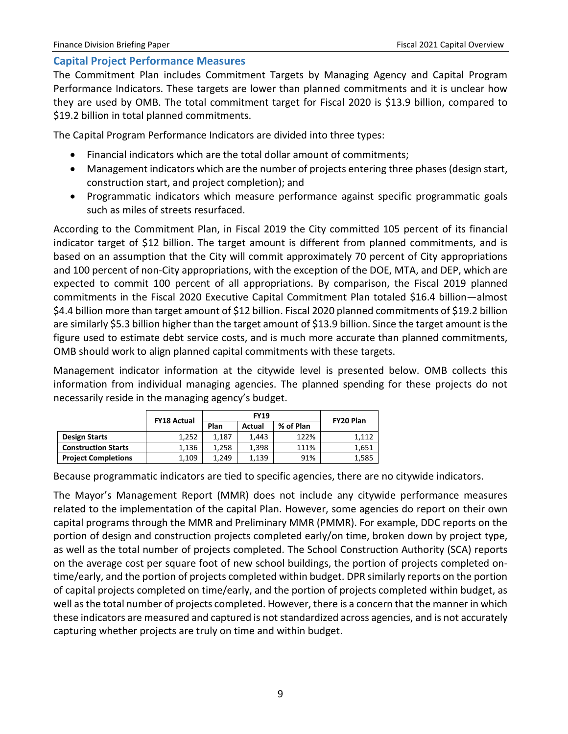### <span id="page-11-0"></span>**Capital Project Performance Measures**

The Commitment Plan includes Commitment Targets by Managing Agency and Capital Program Performance Indicators. These targets are lower than planned commitments and it is unclear how they are used by OMB. The total commitment target for Fiscal 2020 is \$13.9 billion, compared to \$19.2 billion in total planned commitments.

The Capital Program Performance Indicators are divided into three types:

- Financial indicators which are the total dollar amount of commitments;
- Management indicators which are the number of projects entering three phases (design start, construction start, and project completion); and
- Programmatic indicators which measure performance against specific programmatic goals such as miles of streets resurfaced.

According to the Commitment Plan, in Fiscal 2019 the City committed 105 percent of its financial indicator target of \$12 billion. The target amount is different from planned commitments, and is based on an assumption that the City will commit approximately 70 percent of City appropriations and 100 percent of non-City appropriations, with the exception of the DOE, MTA, and DEP, which are expected to commit 100 percent of all appropriations. By comparison, the Fiscal 2019 planned commitments in the Fiscal 2020 Executive Capital Commitment Plan totaled \$16.4 billion—almost \$4.4 billion more than target amount of \$12 billion. Fiscal 2020 planned commitments of \$19.2 billion are similarly \$5.3 billion higher than the target amount of \$13.9 billion. Since the target amount is the figure used to estimate debt service costs, and is much more accurate than planned commitments, OMB should work to align planned capital commitments with these targets.

Management indicator information at the citywide level is presented below. OMB collects this information from individual managing agencies. The planned spending for these projects do not necessarily reside in the managing agency's budget.

|                            | <b>FY18 Actual</b> |       | <b>FY19</b> | FY20 Plan |       |
|----------------------------|--------------------|-------|-------------|-----------|-------|
|                            |                    | Plan  | Actual      | % of Plan |       |
| <b>Design Starts</b>       | 1.252              | 1.187 | 1.443       | 122%      | 1.112 |
| <b>Construction Starts</b> | 1.136              | 1.258 | 1.398       | 111%      | 1.651 |
| <b>Project Completions</b> | 1,109              | 1.249 | 1.139       | 91%       | 1,585 |

Because programmatic indicators are tied to specific agencies, there are no citywide indicators.

The Mayor's Management Report (MMR) does not include any citywide performance measures related to the implementation of the capital Plan. However, some agencies do report on their own capital programs through the MMR and Preliminary MMR (PMMR). For example, DDC reports on the portion of design and construction projects completed early/on time, broken down by project type, as well as the total number of projects completed. The School Construction Authority (SCA) reports on the average cost per square foot of new school buildings, the portion of projects completed ontime/early, and the portion of projects completed within budget. DPR similarly reports on the portion of capital projects completed on time/early, and the portion of projects completed within budget, as well as the total number of projects completed. However, there is a concern that the manner in which these indicators are measured and captured is not standardized across agencies, and is not accurately capturing whether projects are truly on time and within budget.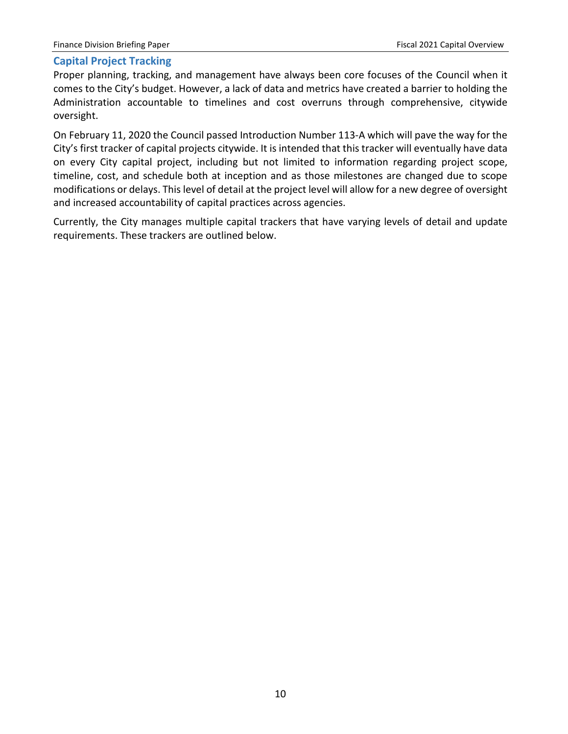## <span id="page-12-0"></span>**Capital Project Tracking**

Proper planning, tracking, and management have always been core focuses of the Council when it comes to the City's budget. However, a lack of data and metrics have created a barrier to holding the Administration accountable to timelines and cost overruns through comprehensive, citywide oversight.

On February 11, 2020 the Council passed Introduction Number 113-A which will pave the way for the City's first tracker of capital projects citywide. It is intended that this tracker will eventually have data on every City capital project, including but not limited to information regarding project scope, timeline, cost, and schedule both at inception and as those milestones are changed due to scope modifications or delays. This level of detail at the project level will allow for a new degree of oversight and increased accountability of capital practices across agencies.

Currently, the City manages multiple capital trackers that have varying levels of detail and update requirements. These trackers are outlined below.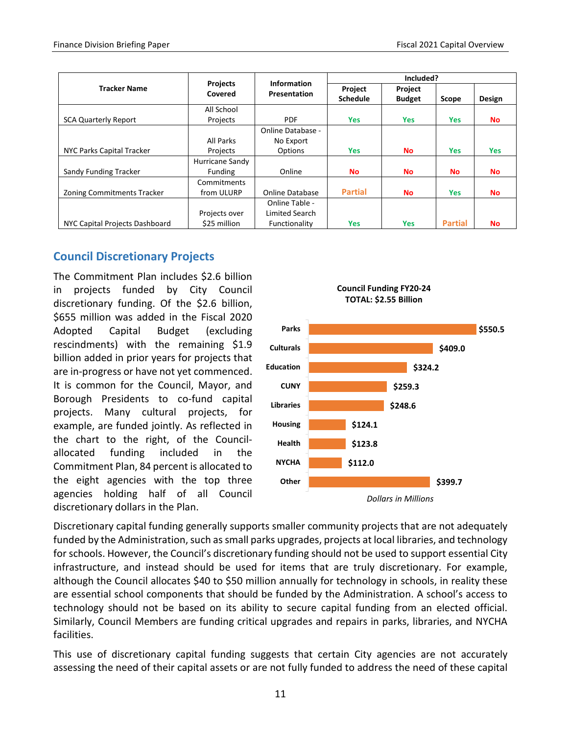|                                |                            | <b>Information</b>  |                            | Included?                |                |            |
|--------------------------------|----------------------------|---------------------|----------------------------|--------------------------|----------------|------------|
| <b>Tracker Name</b>            | <b>Projects</b><br>Covered | <b>Presentation</b> | Project<br><b>Schedule</b> | Project<br><b>Budget</b> | Scope          | Design     |
|                                | All School                 |                     |                            |                          |                |            |
| <b>SCA Quarterly Report</b>    | Projects                   | <b>PDF</b>          | <b>Yes</b>                 | <b>Yes</b>               | <b>Yes</b>     | No.        |
|                                |                            | Online Database -   |                            |                          |                |            |
|                                | All Parks                  | No Export           |                            |                          |                |            |
| NYC Parks Capital Tracker      | Projects                   | Options             | <b>Yes</b>                 | <b>No</b>                | <b>Yes</b>     | <b>Yes</b> |
|                                | Hurricane Sandy            |                     |                            |                          |                |            |
| Sandy Funding Tracker          | Funding                    | Online              | <b>No</b>                  | <b>No</b>                | No             | <b>No</b>  |
|                                | Commitments                |                     |                            |                          |                |            |
| Zoning Commitments Tracker     | from ULURP                 | Online Database     | <b>Partial</b>             | <b>No</b>                | <b>Yes</b>     | <b>No</b>  |
|                                |                            | Online Table -      |                            |                          |                |            |
|                                | Projects over              | Limited Search      |                            |                          |                |            |
| NYC Capital Projects Dashboard | \$25 million               | Functionality       | Yes                        | <b>Yes</b>               | <b>Partial</b> | <b>No</b>  |

# <span id="page-13-0"></span>**Council Discretionary Projects**

The Commitment Plan includes \$2.6 billion in projects funded by City Council discretionary funding. Of the \$2.6 billion, \$655 million was added in the Fiscal 2020 Adopted Capital Budget (excluding rescindments) with the remaining \$1.9 billion added in prior years for projects that are in-progress or have not yet commenced. It is common for the Council, Mayor, and Borough Presidents to co-fund capital projects. Many cultural projects, for example, are funded jointly. As reflected in the chart to the right, of the Councilallocated funding included in the Commitment Plan, 84 percent is allocated to the eight agencies with the top three agencies holding half of all Council discretionary dollars in the Plan.



**Council Funding FY20-24 TOTAL: \$2.55 Billion**

Discretionary capital funding generally supports smaller community projects that are not adequately funded by the Administration, such as small parks upgrades, projects at local libraries, and technology for schools. However, the Council's discretionary funding should not be used to support essential City infrastructure, and instead should be used for items that are truly discretionary. For example, although the Council allocates \$40 to \$50 million annually for technology in schools, in reality these are essential school components that should be funded by the Administration. A school's access to technology should not be based on its ability to secure capital funding from an elected official. Similarly, Council Members are funding critical upgrades and repairs in parks, libraries, and NYCHA facilities.

This use of discretionary capital funding suggests that certain City agencies are not accurately assessing the need of their capital assets or are not fully funded to address the need of these capital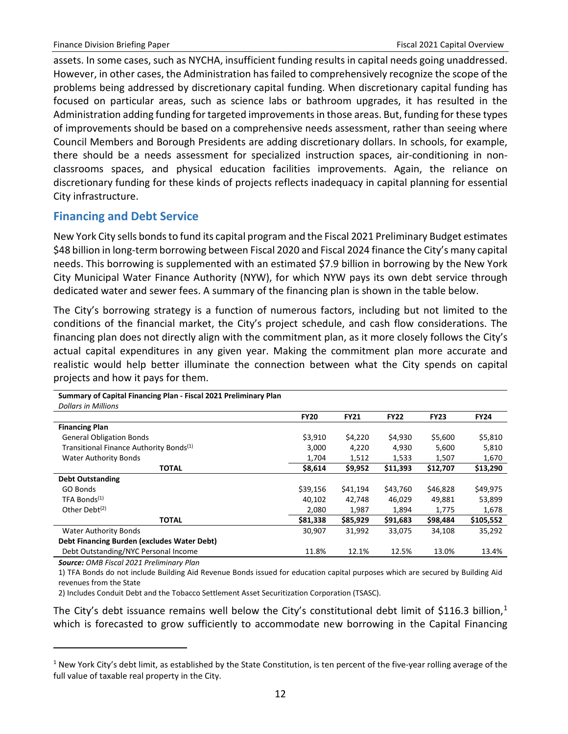assets. In some cases, such as NYCHA, insufficient funding results in capital needs going unaddressed. However, in other cases, the Administration has failed to comprehensively recognize the scope of the problems being addressed by discretionary capital funding. When discretionary capital funding has focused on particular areas, such as science labs or bathroom upgrades, it has resulted in the Administration adding funding for targeted improvementsin those areas. But, funding for these types of improvements should be based on a comprehensive needs assessment, rather than seeing where Council Members and Borough Presidents are adding discretionary dollars. In schools, for example, there should be a needs assessment for specialized instruction spaces, air-conditioning in nonclassrooms spaces, and physical education facilities improvements. Again, the reliance on discretionary funding for these kinds of projects reflects inadequacy in capital planning for essential City infrastructure.

# <span id="page-14-0"></span>**Financing and Debt Service**

New York City sells bonds to fund its capital program and the Fiscal 2021 Preliminary Budget estimates \$48 billion in long-term borrowing between Fiscal 2020 and Fiscal 2024 finance the City's many capital needs. This borrowing is supplemented with an estimated \$7.9 billion in borrowing by the New York City Municipal Water Finance Authority (NYW), for which NYW pays its own debt service through dedicated water and sewer fees. A summary of the financing plan is shown in the table below.

The City's borrowing strategy is a function of numerous factors, including but not limited to the conditions of the financial market, the City's project schedule, and cash flow considerations. The financing plan does not directly align with the commitment plan, as it more closely follows the City's actual capital expenditures in any given year. Making the commitment plan more accurate and realistic would help better illuminate the connection between what the City spends on capital projects and how it pays for them.

| <b>Dollars in Millions</b>                          |             |             |             |             |             |
|-----------------------------------------------------|-------------|-------------|-------------|-------------|-------------|
|                                                     | <b>FY20</b> | <b>FY21</b> | <b>FY22</b> | <b>FY23</b> | <b>FY24</b> |
| <b>Financing Plan</b>                               |             |             |             |             |             |
| <b>General Obligation Bonds</b>                     | \$3,910     | \$4,220     | \$4,930     | \$5,600     | \$5,810     |
| Transitional Finance Authority Bonds <sup>(1)</sup> | 3,000       | 4,220       | 4,930       | 5,600       | 5,810       |
| <b>Water Authority Bonds</b>                        | 1,704       | 1,512       | 1,533       | 1,507       | 1,670       |
| <b>TOTAL</b>                                        | \$8,614     | \$9,952     | \$11,393    | \$12,707    | \$13,290    |
| <b>Debt Outstanding</b>                             |             |             |             |             |             |
| GO Bonds                                            | \$39,156    | \$41,194    | \$43,760    | \$46,828    | \$49,975    |
| TFA Bonds <sup>(1)</sup>                            | 40,102      | 42,748      | 46,029      | 49,881      | 53,899      |
| Other Debt <sup>(2)</sup>                           | 2,080       | 1,987       | 1,894       | 1,775       | 1,678       |
| <b>TOTAL</b>                                        | \$81,338    | \$85,929    | \$91,683    | \$98,484    | \$105,552   |
| <b>Water Authority Bonds</b>                        | 30,907      | 31,992      | 33,075      | 34,108      | 35,292      |
| Debt Financing Burden (excludes Water Debt)         |             |             |             |             |             |
| Debt Outstanding/NYC Personal Income                | 11.8%       | 12.1%       | 12.5%       | 13.0%       | 13.4%       |

**Summary of Capital Financing Plan - Fiscal 2021 Preliminary Plan**

*Source: OMB Fiscal 2021 Preliminary Plan*

 $\overline{a}$ 

1) TFA Bonds do not include Building Aid Revenue Bonds issued for education capital purposes which are secured by Building Aid revenues from the State

2) Includes Conduit Debt and the Tobacco Settlement Asset Securitization Corporation (TSASC).

The City's debt issuance remains well below the City's constitutional debt limit of \$[1](#page-14-1)16.3 billion,<sup>1</sup> which is forecasted to grow sufficiently to accommodate new borrowing in the Capital Financing

<span id="page-14-1"></span> $1$  New York City's debt limit, as established by the State Constitution, is ten percent of the five-year rolling average of the full value of taxable real property in the City.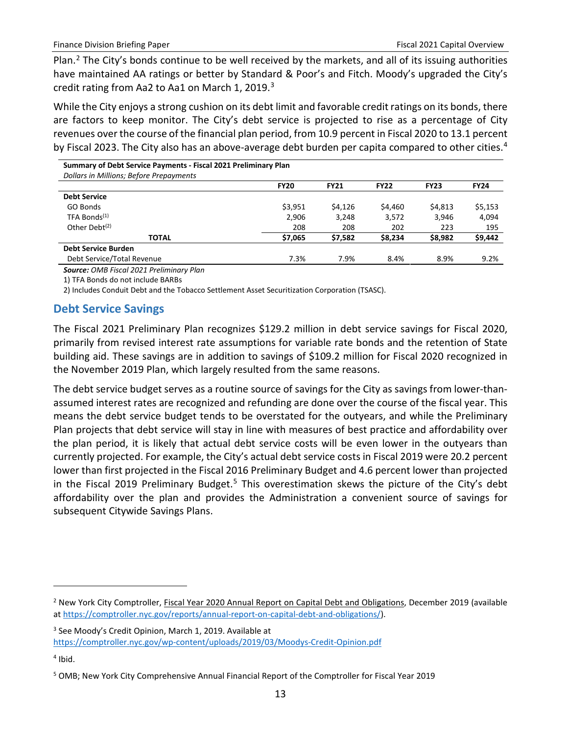Plan.[2](#page-15-1) The City's bonds continue to be well received by the markets, and all of its issuing authorities have maintained AA ratings or better by Standard & Poor's and Fitch. Moody's upgraded the City's credit rating from Aa2 to Aa1 on March 1, 2019.<sup>[3](#page-15-2)</sup>

While the City enjoys a strong cushion on its debt limit and favorable credit ratings on its bonds, there are factors to keep monitor. The City's debt service is projected to rise as a percentage of City revenues over the course of the financial plan period, from 10.9 percent in Fiscal 2020 to 13.1 percent by Fiscal 2023. The City also has an above-average debt burden per capita compared to other cities.<sup>[4](#page-15-3)</sup>

| Summary of Debt Service Payments - Fiscal 2021 Preliminary Plan<br><b>Dollars in Millions; Before Prepayments</b> |             |             |             |             |             |
|-------------------------------------------------------------------------------------------------------------------|-------------|-------------|-------------|-------------|-------------|
|                                                                                                                   | <b>FY20</b> | <b>FY21</b> | <b>FY22</b> | <b>FY23</b> | <b>FY24</b> |
| <b>Debt Service</b>                                                                                               |             |             |             |             |             |
| GO Bonds                                                                                                          | \$3,951     | \$4,126     | \$4,460     | \$4,813     | \$5,153     |
| TFA Bonds <sup>(1)</sup>                                                                                          | 2,906       | 3,248       | 3,572       | 3.946       | 4,094       |
| Other Debt $(2)$                                                                                                  | 208         | 208         | 202         | 223         | 195         |
| <b>TOTAL</b>                                                                                                      | \$7,065     | \$7,582     | \$8,234     | \$8,982     | \$9,442     |
| <b>Debt Service Burden</b>                                                                                        |             |             |             |             |             |
| Debt Service/Total Revenue                                                                                        | 7.3%        | 7.9%        | 8.4%        | 8.9%        | 9.2%        |
|                                                                                                                   |             |             |             |             |             |

*Source: OMB Fiscal 2021 Preliminary Plan*

1) TFA Bonds do not include BARBs

2) Includes Conduit Debt and the Tobacco Settlement Asset Securitization Corporation (TSASC).

# <span id="page-15-0"></span>**Debt Service Savings**

The Fiscal 2021 Preliminary Plan recognizes \$129.2 million in debt service savings for Fiscal 2020, primarily from revised interest rate assumptions for variable rate bonds and the retention of State building aid. These savings are in addition to savings of \$109.2 million for Fiscal 2020 recognized in the November 2019 Plan, which largely resulted from the same reasons.

The debt service budget serves as a routine source of savings for the City as savings from lower-thanassumed interest rates are recognized and refunding are done over the course of the fiscal year. This means the debt service budget tends to be overstated for the outyears, and while the Preliminary Plan projects that debt service will stay in line with measures of best practice and affordability over the plan period, it is likely that actual debt service costs will be even lower in the outyears than currently projected. For example, the City's actual debt service costs in Fiscal 2019 were 20.2 percent lower than first projected in the Fiscal 2016 Preliminary Budget and 4.6 percent lower than projected in the Fiscal 2019 Preliminary Budget. [5](#page-15-4) This overestimation skews the picture of the City's debt affordability over the plan and provides the Administration a convenient source of savings for subsequent Citywide Savings Plans.

<span id="page-15-3"></span> $4$  Ibid.

 $\overline{a}$ 

<span id="page-15-1"></span><sup>&</sup>lt;sup>2</sup> New York City Comptroller, Fiscal Year 2020 Annual Report on Capital Debt and Obligations, December 2019 (available at [https://comptroller.nyc.gov/reports/annual-report-on-capital-debt-and-obligations/\)](https://comptroller.nyc.gov/reports/annual-report-on-capital-debt-and-obligations/).

<span id="page-15-2"></span><sup>3</sup> See Moody's Credit Opinion, March 1, 2019. Available at <https://comptroller.nyc.gov/wp-content/uploads/2019/03/Moodys-Credit-Opinion.pdf>

<span id="page-15-4"></span><sup>5</sup> OMB; New York City Comprehensive Annual Financial Report of the Comptroller for Fiscal Year 2019